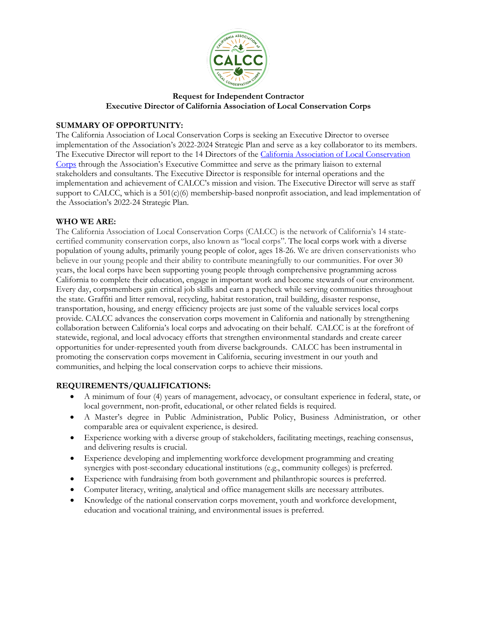

# **Request for Independent Contractor Executive Director of California Association of Local Conservation Corps**

# **SUMMARY OF OPPORTUNITY:**

The California Association of Local Conservation Corps is seeking an Executive Director to oversee implementation of the Association's 2022-2024 Strategic Plan and serve as a key collaborator to its members. The Executive Director will report to the 14 Directors of the California Association of Local Conservation [Corps](https://mylocalcorps.org/) through the Association's Executive Committee and serve as the primary liaison to external stakeholders and consultants. The Executive Director is responsible for internal operations and the implementation and achievement of CALCC's mission and vision. The Executive Director will serve as staff support to CALCC, which is a  $501(c)(6)$  membership-based nonprofit association, and lead implementation of the Association's 2022-24 Strategic Plan.

## **WHO WE ARE:**

The California Association of Local Conservation Corps (CALCC) is the network of California's 14 statecertified community conservation corps, also known as "local corps". The local corps work with a diverse population of young adults, primarily young people of color, ages 18-26. We are driven conservationists who believe in our young people and their ability to contribute meaningfully to our communities. For over 30 years, the local corps have been supporting young people through comprehensive programming across California to complete their education, engage in important work and become stewards of our environment. Every day, corpsmembers gain critical job skills and earn a paycheck while serving communities throughout the state. Graffiti and litter removal, recycling, habitat restoration, trail building, disaster response, transportation, housing, and energy efficiency projects are just some of the valuable services local corps provide. CALCC advances the conservation corps movement in California and nationally by strengthening collaboration between California's local corps and advocating on their behalf. CALCC is at the forefront of statewide, regional, and local advocacy efforts that strengthen environmental standards and create career opportunities for under-represented youth from diverse backgrounds. CALCC has been instrumental in promoting the conservation corps movement in California, securing investment in our youth and communities, and helping the local conservation corps to achieve their missions.

# **REQUIREMENTS/QUALIFICATIONS:**

- A minimum of four (4) years of management, advocacy, or consultant experience in federal, state, or local government, non-profit, educational, or other related fields is required.
- A Master's degree in Public Administration, Public Policy, Business Administration, or other comparable area or equivalent experience, is desired.
- Experience working with a diverse group of stakeholders, facilitating meetings, reaching consensus, and delivering results is crucial.
- Experience developing and implementing workforce development programming and creating synergies with post-secondary educational institutions (e.g., community colleges) is preferred.
- Experience with fundraising from both government and philanthropic sources is preferred.
- Computer literacy, writing, analytical and office management skills are necessary attributes.
- Knowledge of the national conservation corps movement, youth and workforce development, education and vocational training, and environmental issues is preferred.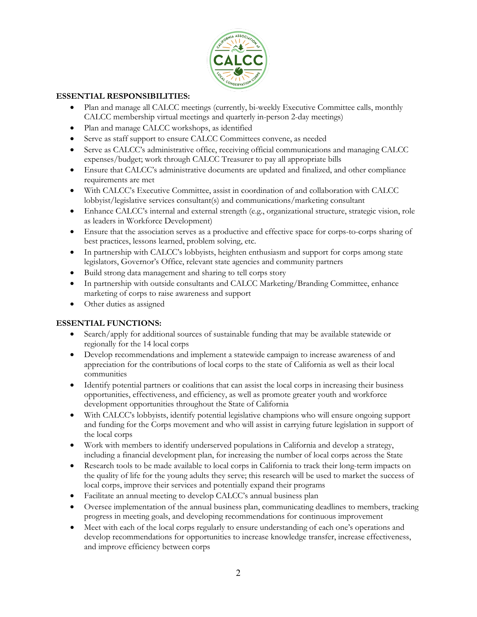

## **ESSENTIAL RESPONSIBILITIES:**

- Plan and manage all CALCC meetings (currently, bi-weekly Executive Committee calls, monthly CALCC membership virtual meetings and quarterly in-person 2-day meetings)
- Plan and manage CALCC workshops, as identified
- Serve as staff support to ensure CALCC Committees convene, as needed
- Serve as CALCC's administrative office, receiving official communications and managing CALCC expenses/budget; work through CALCC Treasurer to pay all appropriate bills
- Ensure that CALCC's administrative documents are updated and finalized, and other compliance requirements are met
- With CALCC's Executive Committee, assist in coordination of and collaboration with CALCC lobbyist/legislative services consultant(s) and communications/marketing consultant
- Enhance CALCC's internal and external strength (e.g., organizational structure, strategic vision, role as leaders in Workforce Development)
- Ensure that the association serves as a productive and effective space for corps-to-corps sharing of best practices, lessons learned, problem solving, etc.
- In partnership with CALCC's lobbyists, heighten enthusiasm and support for corps among state legislators, Governor's Office, relevant state agencies and community partners
- Build strong data management and sharing to tell corps story
- In partnership with outside consultants and CALCC Marketing/Branding Committee, enhance marketing of corps to raise awareness and support
- Other duties as assigned

#### **ESSENTIAL FUNCTIONS:**

- Search/apply for additional sources of sustainable funding that may be available statewide or regionally for the 14 local corps
- Develop recommendations and implement a statewide campaign to increase awareness of and appreciation for the contributions of local corps to the state of California as well as their local communities
- Identify potential partners or coalitions that can assist the local corps in increasing their business opportunities, effectiveness, and efficiency, as well as promote greater youth and workforce development opportunities throughout the State of California
- With CALCC's lobbyists, identify potential legislative champions who will ensure ongoing support and funding for the Corps movement and who will assist in carrying future legislation in support of the local corps
- Work with members to identify underserved populations in California and develop a strategy, including a financial development plan, for increasing the number of local corps across the State
- Research tools to be made available to local corps in California to track their long-term impacts on the quality of life for the young adults they serve; this research will be used to market the success of local corps, improve their services and potentially expand their programs
- Facilitate an annual meeting to develop CALCC's annual business plan
- Oversee implementation of the annual business plan, communicating deadlines to members, tracking progress in meeting goals, and developing recommendations for continuous improvement
- Meet with each of the local corps regularly to ensure understanding of each one's operations and develop recommendations for opportunities to increase knowledge transfer, increase effectiveness, and improve efficiency between corps